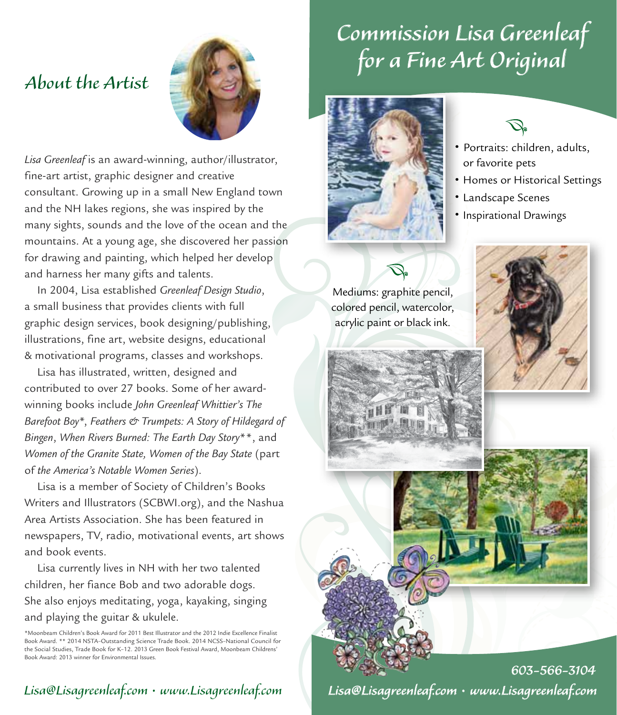### *About the Artist a*



Lisa Greenleaf is an award-winning, author/illustrator, fine-art artist, graphic designer and creative consultant. Growing up in a small New England town and the NH lakes regions, she was inspired by the many sights, sounds and the love of the ocean and the mountains. At a young age, she discovered her passion for drawing and painting, which helped her develop and harness her many gifts and talents.

In 2004, Lisa established *Greenleaf Design Studio*, a small business that provides clients with full graphic design services, book designing/publishing, illustrations, fine art, website designs, educational & motivational programs, classes and workshops.

Lisa has illustrated, written, designed and contributed to over 27 books. Some of her awardwinning books include *John Greenleaf Whittier's The Barefoot Boy*\*, *Feathers & Trumpets: A Story of Hildegard of Bingen*, *When Rivers Burned: The Earth Day Story*\*\*, and *Women of the Granite State, Women of the Bay State* (part of *the America's Notable Women Series*).

Lisa is a member of Society of Children's Books Writers and Illustrators (SCBWI.org), and the Nashua Area Artists Association. She has been featured in newspapers, TV, radio, motivational events, art shows and book events.

Lisa currently lives in NH with her two talented children, her fiance Bob and two adorable dogs. She also enjoys meditating, yoga, kayaking, singing and playing the guitar & ukulele.

\*Moonbeam Children's Book Award for 2011 Best Illustrator and the 2012 Indie Excellence Finalist Book Award. \*\* 2014 NSTA–Outstanding Science Trade Book. 2014 NCSS–National Council for the Social Studies, Trade Book for K–12. 2013 Green Book Festival Award, Moonbeam Childrens' Book Award: 2013 winner for Environmental Issues.

## • Portraits: children, adults, or favorite pets

• Homes or Historical Settings

- Landscape Scenes
- •Inspirational Drawings





Lisa@Lisagreenleaf.com • www.Lisagreenleaf.com *603-566-3104*

# *Commission Lisa Greenleaf for a Fine Art Original*



### Lisa@Lisagreenleaf.com • www.Lisagreenleaf.com